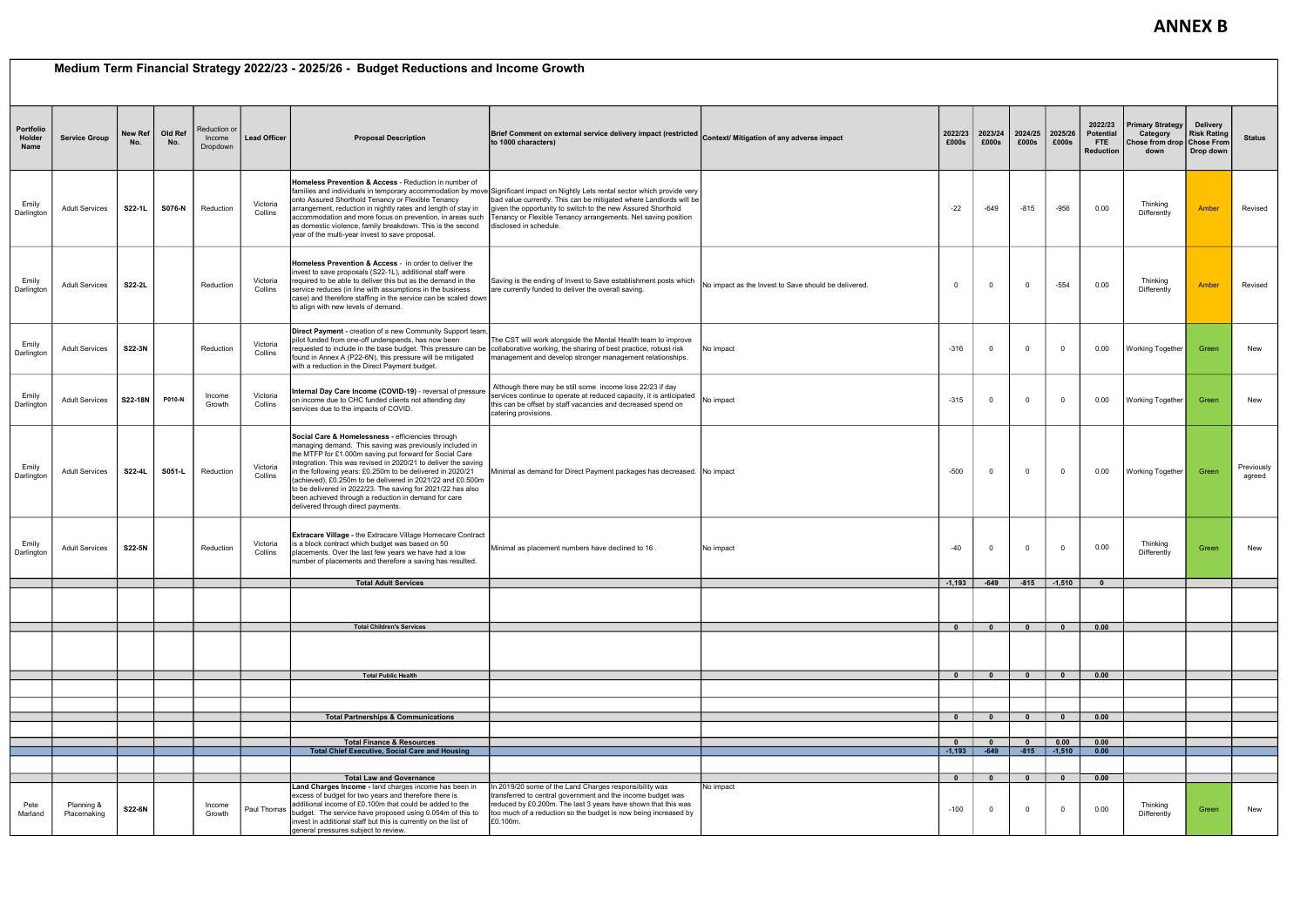## Medium Term Financial Strategy 2022/23 - 2025/26 - Budget Reductions and Income Growth

| Portfolio<br>Holder<br>Name | <b>Service Group</b>      | <b>New Ref</b><br>No. | Old Ref<br>No. | Reduction or<br>Income<br>Dropdown | <b>Lead Officer</b> | <b>Proposal Description</b>                                                                                                                                                                                                                                                                                                                                                                                                                                                                                                        | Brief Comment on external service delivery impact (restricted Context/ Mitigation of any adverse impact<br>to 1000 characters)                                                                                                                                                                                                                                   |                                                      | 2022/23<br>£000s         | 2023/24<br>£000s       | 2024/25<br>£000s | 2025/26<br>£000s        | 2022/23<br><b>Potential</b><br><b>FTE</b><br><b>Reduction</b> | Primary Strategy  <br>Category<br>Chose from drop   Chose From<br>down | Delivery<br><b>Risk Rating</b><br>Drop down | <b>Status</b>        |
|-----------------------------|---------------------------|-----------------------|----------------|------------------------------------|---------------------|------------------------------------------------------------------------------------------------------------------------------------------------------------------------------------------------------------------------------------------------------------------------------------------------------------------------------------------------------------------------------------------------------------------------------------------------------------------------------------------------------------------------------------|------------------------------------------------------------------------------------------------------------------------------------------------------------------------------------------------------------------------------------------------------------------------------------------------------------------------------------------------------------------|------------------------------------------------------|--------------------------|------------------------|------------------|-------------------------|---------------------------------------------------------------|------------------------------------------------------------------------|---------------------------------------------|----------------------|
| Emily<br>Darlington         | <b>Adult Services</b>     | S22-1L                | S076-N         | Reduction                          | Victoria<br>Collins | Homeless Prevention & Access - Reduction in number of<br>onto Assured Shorthold Tenancy or Flexible Tenancy<br>arrangement, reduction in nightly rates and length of stay in<br>accommodation and more focus on prevention, in areas such<br>as domestic violence, family breakdown. This is the second<br>year of the multi-year invest to save proposal.                                                                                                                                                                         | families and individuals in temporary accommodation by move Significant impact on Nightly Lets rental sector which provide very<br>bad value currently. This can be mitigated where Landlords will be<br>given the opportunity to switch to the new Assured Shorthold<br>Tenancy or Flexible Tenancy arrangements. Net saving position<br>disclosed in schedule. |                                                      | $-22$                    | -649                   | $-815$           | -956                    | 0.00                                                          | Thinking<br>Differently                                                | Amber                                       | Revised              |
| Emily<br>Darlington         | <b>Adult Services</b>     | S22-2L                |                | Reduction                          | Victoria<br>Collins | <b>Homeless Prevention &amp; Access - in order to deliver the</b><br>invest to save proposals (S22-1L), additional staff were<br>required to be able to deliver this but as the demand in the<br>service reduces (in line with assumptions in the business<br>case) and therefore staffing in the service can be scaled dowr<br>to align with new levels of demand.                                                                                                                                                                | Saving is the ending of Invest to Save establishment posts which<br>are currently funded to deliver the overall saving.                                                                                                                                                                                                                                          | No impact as the Invest to Save should be delivered. | $\mathbf 0$              | $\Omega$               | $\mathbf{0}$     | $-554$                  | 0.00                                                          | Thinking<br>Differently                                                | Amber                                       | Revised              |
| Emily<br>Darlington         | <b>Adult Services</b>     | S22-3N                |                | Reduction                          | Victoria<br>Collins | Direct Payment - creation of a new Community Support team,<br>pilot funded from one-off underspends, has now been<br>found in Annex A (P22-6N), this pressure will be mitigated<br>with a reduction in the Direct Payment budget.                                                                                                                                                                                                                                                                                                  | The CST will work alongside the Mental Health team to improve<br>requested to include in the base budget. This pressure can be collaborative working, the sharing of best practice, robust risk<br>management and develop stronger management relationships.                                                                                                     | No impact                                            | $-316$                   | - 0                    | $\Omega$         | $\Omega$                | 0.00                                                          | Working Together                                                       | Green                                       | New                  |
| Emily<br>Darlington         | <b>Adult Services</b>     | S22-18N               | P010-N         | Income<br>Growth                   | Victoria<br>Collins | Internal Day Care Income (COVID-19) - reversal of pressure<br>on income due to CHC funded clients not attending day<br>services due to the impacts of COVID.                                                                                                                                                                                                                                                                                                                                                                       | Although there may be still some income loss 22/23 if day<br>services continue to operate at reduced capacity, it is anticipated<br>this can be offset by staff vacancies and decreased spend on<br>catering provisions.                                                                                                                                         | No impact                                            | $-315$                   | $\Omega$               | $\Omega$         | $\Omega$                | 0.00                                                          | Working Together                                                       | Green                                       | New                  |
| Emily<br>Darlington         | <b>Adult Services</b>     | S22-4L                | S051-L         | Reduction                          | Victoria<br>Collins | Social Care & Homelessness - efficiencies through<br>managing demand. This saving was previously included in<br>the MTFP for £1.000m saving put forward for Social Care<br>Integration. This was revised in 2020/21 to deliver the saving<br>in the following years: £0.250m to be delivered in 2020/21<br>(achieved), £0.250m to be delivered in 2021/22 and £0.500m<br>to be delivered in 2022/23. The saving for 2021/22 has also<br>been achieved through a reduction in demand for care<br>delivered through direct payments. | Minimal as demand for Direct Payment packages has decreased. No impact                                                                                                                                                                                                                                                                                           |                                                      | $-500$                   | $\Omega$               | $\mathbf 0$      | $\Omega$                | $0.00\,$                                                      | Working Together                                                       | Green                                       | Previously<br>agreed |
| Emily<br>Darlington         | <b>Adult Services</b>     | S22-5N                |                | Reduction                          | Victoria<br>Collins | Extracare Village - the Extracare Village Homecare Contract<br>is a block contract which budget was based on 50<br>placements. Over the last few years we have had a low<br>number of placements and therefore a saving has resulted.                                                                                                                                                                                                                                                                                              | Minimal as placement numbers have declined to 16.                                                                                                                                                                                                                                                                                                                | No impact                                            | $-40$                    |                        | $\mathbf 0$      | $\mathbf 0$             | 0.00                                                          | Thinking<br>Differently                                                | Green                                       | New                  |
|                             |                           |                       |                |                                    |                     | <b>Total Adult Services</b>                                                                                                                                                                                                                                                                                                                                                                                                                                                                                                        |                                                                                                                                                                                                                                                                                                                                                                  |                                                      | $-1,193$                 | -649                   | $-815$           | $-1,510$                | $\mathbf{0}$                                                  |                                                                        |                                             |                      |
|                             |                           |                       |                |                                    |                     |                                                                                                                                                                                                                                                                                                                                                                                                                                                                                                                                    |                                                                                                                                                                                                                                                                                                                                                                  |                                                      |                          |                        |                  |                         |                                                               |                                                                        |                                             |                      |
|                             |                           |                       |                |                                    |                     | <b>Total Children's Services</b>                                                                                                                                                                                                                                                                                                                                                                                                                                                                                                   |                                                                                                                                                                                                                                                                                                                                                                  |                                                      | $\overline{\mathbf{0}}$  | $\mathbf{0}$           | $\mathbf{0}$     | $\mathbf{0}$            | 0.00                                                          |                                                                        |                                             |                      |
|                             |                           |                       |                |                                    |                     |                                                                                                                                                                                                                                                                                                                                                                                                                                                                                                                                    |                                                                                                                                                                                                                                                                                                                                                                  |                                                      |                          |                        |                  |                         |                                                               |                                                                        |                                             |                      |
|                             |                           |                       |                |                                    |                     | <b>Total Public Health</b>                                                                                                                                                                                                                                                                                                                                                                                                                                                                                                         |                                                                                                                                                                                                                                                                                                                                                                  |                                                      | $\overline{\mathbf{0}}$  | $\bullet$              | $\bullet$        | $\bullet$               | 0.00                                                          |                                                                        |                                             |                      |
|                             |                           |                       |                |                                    |                     |                                                                                                                                                                                                                                                                                                                                                                                                                                                                                                                                    |                                                                                                                                                                                                                                                                                                                                                                  |                                                      |                          |                        |                  |                         |                                                               |                                                                        |                                             |                      |
|                             |                           |                       |                |                                    |                     | <b>Total Partnerships &amp; Communications</b>                                                                                                                                                                                                                                                                                                                                                                                                                                                                                     |                                                                                                                                                                                                                                                                                                                                                                  |                                                      | $\bullet$                | $\bullet$              | $\bullet$        | $\bullet$               | 0.00                                                          |                                                                        |                                             |                      |
|                             |                           |                       |                |                                    |                     |                                                                                                                                                                                                                                                                                                                                                                                                                                                                                                                                    |                                                                                                                                                                                                                                                                                                                                                                  |                                                      |                          |                        |                  |                         |                                                               |                                                                        |                                             |                      |
|                             |                           |                       |                |                                    |                     | <b>Total Finance &amp; Resources</b><br><b>Total Chief Executive, Social Care and Housing</b>                                                                                                                                                                                                                                                                                                                                                                                                                                      |                                                                                                                                                                                                                                                                                                                                                                  |                                                      | $\mathbf{0}$<br>$-1,193$ | $\mathbf{0}$<br>$-649$ | $\bullet$        | 0.00<br>$-815$ $-1,510$ | 0.00<br>0.00                                                  |                                                                        |                                             |                      |
|                             |                           |                       |                |                                    |                     |                                                                                                                                                                                                                                                                                                                                                                                                                                                                                                                                    |                                                                                                                                                                                                                                                                                                                                                                  |                                                      |                          |                        |                  |                         |                                                               |                                                                        |                                             |                      |
|                             |                           |                       |                |                                    |                     | <b>Total Law and Governance</b>                                                                                                                                                                                                                                                                                                                                                                                                                                                                                                    |                                                                                                                                                                                                                                                                                                                                                                  |                                                      | $\overline{\mathbf{0}}$  | $\mathbf{0}$           | $\mathbf{0}$     | $\mathbf{0}$            | 0.00                                                          |                                                                        |                                             |                      |
| Pete<br>Marland             | Planning &<br>Placemaking | S22-6N                |                | Income<br>Growth                   | Paul Thomas         | Land Charges Income - land charges income has been in<br>excess of budget for two years and therefore there is<br>additional income of £0.100m that could be added to the<br>budget. The service have proposed using 0.054m of this to<br>invest in additional staff but this is currently on the list of<br>general pressures subject to review.                                                                                                                                                                                  | In 2019/20 some of the Land Charges responsibility was<br>transferred to central government and the income budget was<br>reduced by £0.200m. The last 3 years have shown that this was<br>too much of a reduction so the budget is now being increased by<br>£0.100m.                                                                                            | No impact                                            | $-100$                   | $\Omega$               | $\overline{0}$   |                         | 0.00                                                          | Thinking<br>Differently                                                | Green                                       | New                  |

## **ANNEX B**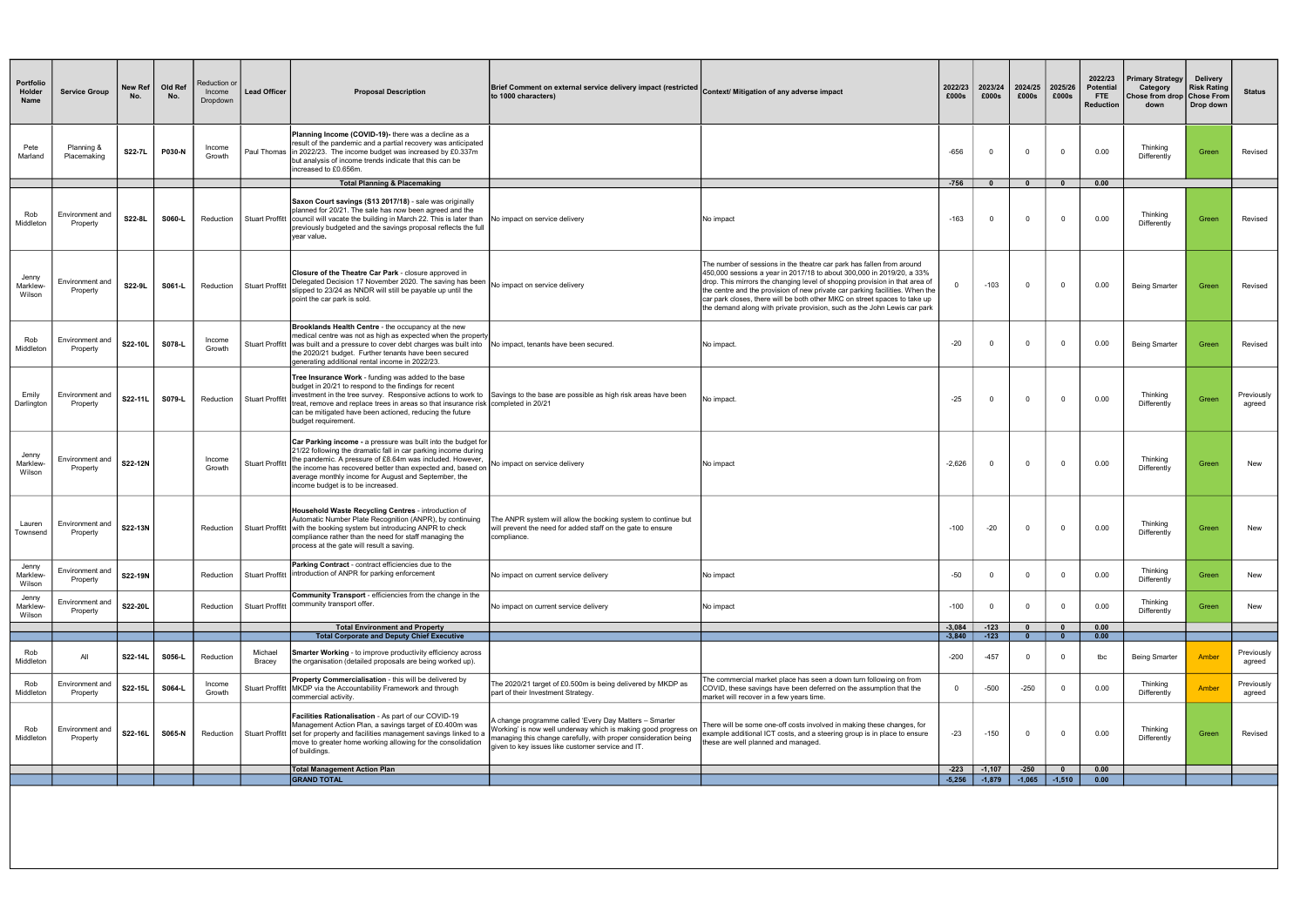| <b>Portfolio</b><br>Holder<br>Name | <b>Service Group</b>               | New Ref<br>No. | Old Ref<br>No. | Reduction or<br>Income<br>Dropdown | <b>Lead Officer</b>      | <b>Proposal Description</b>                                                                                                                                                                                                                                                                                                                                     | Brief Comment on external service delivery impact (restricted Context/ Mitigation of any adverse impact<br>to 1000 characters)                                                                                                                   |                                                                                                                                                                                                                                                                                                                                                                                                                                                                        | 2022/23<br>£000s     | 2023/24<br>£000s | 2024/25<br>£000s             | 2025/26<br>£000s          | 2022/23<br><b>Potential</b><br><b>FTE</b><br><b>Reduction</b> | <b>Primary Strategy</b><br>Category<br>Chose from drop   Chose From<br>down | <b>Delivery</b><br><b>Risk Rating</b><br>Drop down | <b>Status</b>        |
|------------------------------------|------------------------------------|----------------|----------------|------------------------------------|--------------------------|-----------------------------------------------------------------------------------------------------------------------------------------------------------------------------------------------------------------------------------------------------------------------------------------------------------------------------------------------------------------|--------------------------------------------------------------------------------------------------------------------------------------------------------------------------------------------------------------------------------------------------|------------------------------------------------------------------------------------------------------------------------------------------------------------------------------------------------------------------------------------------------------------------------------------------------------------------------------------------------------------------------------------------------------------------------------------------------------------------------|----------------------|------------------|------------------------------|---------------------------|---------------------------------------------------------------|-----------------------------------------------------------------------------|----------------------------------------------------|----------------------|
| Pete<br>Marland                    | Planning &<br>Placemaking          | S22-7L         | P030-N         | Income<br>Growth                   |                          | <b>Planning Income (COVID-19)-</b> there was a decline as a<br>result of the pandemic and a partial recovery was anticipated<br>Paul Thomas   in 2022/23. The income budget was increased by £0.337m<br>but analysis of income trends indicate that this can be<br>increased to £0.656m.                                                                        |                                                                                                                                                                                                                                                  |                                                                                                                                                                                                                                                                                                                                                                                                                                                                        | $-656$               |                  | $\mathbf 0$                  | $\Omega$                  | 0.00                                                          | Thinking<br>Differently                                                     | Green                                              | Revised              |
|                                    |                                    |                |                |                                    |                          | <b>Total Planning &amp; Placemaking</b>                                                                                                                                                                                                                                                                                                                         |                                                                                                                                                                                                                                                  |                                                                                                                                                                                                                                                                                                                                                                                                                                                                        | $-756$               | $\mathbf{0}$     | $\mathbf{0}$                 | $\mathbf{0}$              | 0.00                                                          |                                                                             |                                                    |                      |
| Rob<br>Middleton                   | Environment and<br>Property        | S22-8L         | S060-L         | Reduction                          |                          | Saxon Court savings (S13 2017/18) - sale was originally<br>planned for 20/21. The sale has now been agreed and the<br>Stuart Proffitt council will vacate the building in March 22. This is later than<br>previously budgeted and the savings proposal reflects the full<br>vear value.                                                                         | No impact on service delivery                                                                                                                                                                                                                    | No impact                                                                                                                                                                                                                                                                                                                                                                                                                                                              | $-163$               | $\mathbf 0$      | $\mathbf 0$                  | $\overline{0}$            | 0.00                                                          | Thinking<br>Differently                                                     | Green                                              | Revised              |
| Jenny<br>Marklew-<br>Wilson        | Environment and<br>Property        | S22-9L         | S061-L         | Reduction                          | <b>Stuart Proffitt</b>   | <b>Closure of the Theatre Car Park - closure approved in</b><br>Delegated Decision 17 November 2020. The saving has been<br>slipped to 23/24 as NNDR will still be payable up until the<br>lpoint the car park is sold.                                                                                                                                         | No impact on service delivery                                                                                                                                                                                                                    | The number of sessions in the theatre car park has fallen from around<br>450,000 sessions a year in 2017/18 to about 300,000 in 2019/20, a 33%<br>drop. This mirrors the changing level of shopping provision in that area of<br>the centre and the provision of new private car parking facilities. When the<br>car park closes, there will be both other MKC on street spaces to take up<br>the demand along with private provision, such as the John Lewis car park |                      | $-103$           | $\mathbf{0}$                 | $\overline{0}$            | 0.00                                                          | <b>Being Smarter</b>                                                        | Green                                              | Revised              |
| Rob<br>Middleton                   | <b>Environment and</b><br>Property | S22-10L        | S078-L         | Income<br>Growth                   |                          | Brooklands Health Centre - the occupancy at the new<br>medical centre was not as high as expected when the property<br>Stuart Proffitt was built and a pressure to cover debt charges was built into No impact, tenants have been secured.<br>the 2020/21 budget. Further tenants have been secured<br>generating additional rental income in 2022/23.          |                                                                                                                                                                                                                                                  | No impact.                                                                                                                                                                                                                                                                                                                                                                                                                                                             | $-20$                | $\Omega$         | $\mathbf 0$                  | $\Omega$                  | 0.00                                                          | <b>Being Smarter</b>                                                        | Green                                              | Revised              |
| Emily<br>Darlington                | Environment and<br>Property        | S22-11L        | S079-L         | Reduction                          | Stuart Proffit           | <b>Tree Insurance Work - funding was added to the base</b><br>budget in 20/21 to respond to the findings for recent<br>treat, remove and replace trees in areas so that insurance risk completed in 20/21<br>can be mitigated have been actioned, reducing the future<br>budget requirement.                                                                    | investment in the tree survey. Responsive actions to work to Savings to the base are possible as high risk areas have been                                                                                                                       | No impact.                                                                                                                                                                                                                                                                                                                                                                                                                                                             | $-25$                | $\Omega$         | $\mathbf{0}$                 | $\Omega$                  | 0.00                                                          | Thinking<br>Differently                                                     | Green                                              | Previously<br>agreed |
| Jenny<br>Marklew-<br>Wilson        | Environment and<br>Property        | S22-12N        |                | Income<br>Growth                   | <b>Stuart Proffitt</b>   | <b>Car Parking income - a pressure was built into the budget for</b><br>21/22 following the dramatic fall in car parking income during<br>the pandemic. A pressure of £8.64m was included. However,<br>the income has recovered better than expected and, based on<br>average monthly income for August and September, the<br>income budget is to be increased. | No impact on service delivery                                                                                                                                                                                                                    | No impact                                                                                                                                                                                                                                                                                                                                                                                                                                                              | $-2,626$             | $\overline{0}$   | $\mathbf{0}$                 | $\overline{0}$            | 0.00                                                          | Thinking<br>Differently                                                     | Green                                              | New                  |
| Lauren<br>Townsend                 | Environment and<br>Property        | S22-13N        |                |                                    |                          | Household Waste Recycling Centres - introduction of<br>Automatic Number Plate Recognition (ANPR), by continuing<br>Reduction Stuart Proffitt with the booking system but introducing ANPR to check<br>compliance rather than the need for staff managing the<br>process at the gate will result a saving.                                                       | The ANPR system will allow the booking system to continue but<br>will prevent the need for added staff on the gate to ensure<br>compliance.                                                                                                      |                                                                                                                                                                                                                                                                                                                                                                                                                                                                        | $-100$               | $-20$            | $^{\circ}$                   | $\mathbf 0$               | 0.00                                                          | Thinking<br>Differently                                                     | Green                                              | New                  |
| Jenny<br>Marklew-<br>Wilson        | Environment and<br>Property        | S22-19N        |                | Reduction                          | Stuart Proffitt          | <b>Parking Contract</b> - contract efficiencies due to the<br>introduction of ANPR for parking enforcement                                                                                                                                                                                                                                                      | No impact on current service delivery                                                                                                                                                                                                            | No impact                                                                                                                                                                                                                                                                                                                                                                                                                                                              | $-50$                | $\mathbf 0$      | $\mathbf{0}$                 | $\overline{0}$            | 0.00                                                          | Thinking<br>Differently                                                     | Green                                              | New                  |
| Jenny<br>Marklew-<br>Wilson        | Environment and<br>Property        | S22-20L        |                | Reduction                          | Stuart Proffitt          | <b>Community Transport</b> - efficiencies from the change in the<br>community transport offer.                                                                                                                                                                                                                                                                  | No impact on current service delivery                                                                                                                                                                                                            | No impact                                                                                                                                                                                                                                                                                                                                                                                                                                                              | $-100$               | $\Omega$         | $\Omega$                     | $\Omega$                  | 0.00                                                          | Thinking<br>Differently                                                     | Green                                              | New                  |
|                                    |                                    |                |                |                                    |                          | <b>Total Environment and Property</b><br><b>Total Corporate and Deputy Chief Executive</b>                                                                                                                                                                                                                                                                      |                                                                                                                                                                                                                                                  |                                                                                                                                                                                                                                                                                                                                                                                                                                                                        | $-3,084$<br>$-3,840$ | $-123$<br>$-123$ | $\mathbf{0}$<br>$\mathbf{0}$ | $\mathbf{0}$<br>$\bullet$ | 0.00<br>0.00                                                  |                                                                             |                                                    |                      |
|                                    |                                    |                |                |                                    |                          |                                                                                                                                                                                                                                                                                                                                                                 |                                                                                                                                                                                                                                                  |                                                                                                                                                                                                                                                                                                                                                                                                                                                                        |                      |                  |                              |                           |                                                               |                                                                             |                                                    |                      |
| Rob<br>Middleton                   | All                                | S22-14L        | S056-L         | Reduction                          | Michael<br><b>Bracey</b> | <b>Smarter Working - to improve productivity efficiency across</b><br>the organisation (detailed proposals are being worked up).                                                                                                                                                                                                                                |                                                                                                                                                                                                                                                  |                                                                                                                                                                                                                                                                                                                                                                                                                                                                        | $-200$               | $-457$           | $\Omega$                     | $\Omega$                  | tbc                                                           | <b>Being Smarter</b>                                                        | Amber                                              | Previously<br>agreed |
| Rob<br>Middleton                   | Environment and<br>Property        | S22-15L        | S064-L         | Income<br>Growth                   |                          | Property Commercialisation - this will be delivered by<br>Stuart Proffitt MKDP via the Accountability Framework and through<br>commercial activity.                                                                                                                                                                                                             | The 2020/21 target of £0.500m is being delivered by MKDP as<br>part of their Investment Strategy.                                                                                                                                                | The commercial market place has seen a down turn following on from<br>COVID, these savings have been deferred on the assumption that the<br>market will recover in a few years time.                                                                                                                                                                                                                                                                                   |                      | -500             | $-250$                       | $\overline{0}$            | 0.00                                                          | Thinking<br>Differently                                                     | Amber                                              | Previously<br>agreed |
| Rob<br>Middleton                   | Environment and<br>Property        | S22-16L        | S065-N         | Reduction                          |                          | <b>Facilities Rationalisation - As part of our COVID-19</b><br>Management Action Plan, a savings target of £0.400m was<br>Stuart Proffitt Set for property and facilities management savings linked to a<br>move to greater home working allowing for the consolidation<br>of buildings.                                                                        | A change programme called 'Every Day Matters - Smarter<br>Vorking' is now well underway which is making good progress on<br>nanaging this change carefully, with proper consideration being<br>given to key issues like customer service and IT. | There will be some one-off costs involved in making these changes, for<br>example additional ICT costs, and a steering group is in place to ensure<br>these are well planned and managed.                                                                                                                                                                                                                                                                              | $-23$                | $-150$           | $\mathbf 0$                  | $\Omega$                  | 0.00                                                          | Thinking<br>Differently                                                     | Green                                              | Revised              |
|                                    |                                    |                |                |                                    |                          | <b>Total Management Action Plan</b>                                                                                                                                                                                                                                                                                                                             |                                                                                                                                                                                                                                                  |                                                                                                                                                                                                                                                                                                                                                                                                                                                                        | $-223$               | $-1,107$         | $-250$                       | $\mathbf{0}$              | 0.00                                                          |                                                                             |                                                    |                      |
|                                    |                                    |                |                |                                    |                          | <b>GRAND TOTAL</b>                                                                                                                                                                                                                                                                                                                                              |                                                                                                                                                                                                                                                  |                                                                                                                                                                                                                                                                                                                                                                                                                                                                        | $-5,256$             | $-1,879$         | $-1,065$                     | $-1,510$                  | 0.00                                                          |                                                                             |                                                    |                      |